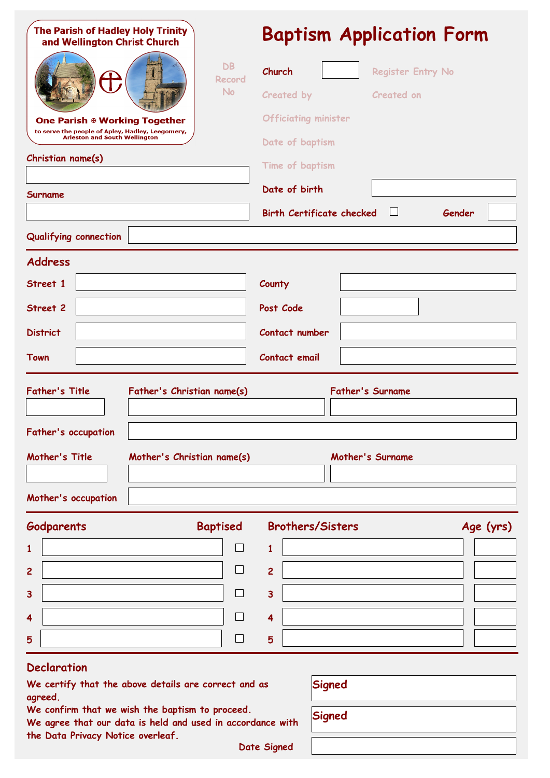| <b>The Parish of Hadley Holy Trinity</b><br>and Wellington Christ Church<br>DB<br>Record<br><b>No</b><br>One Parish ⊕ Working Together                                                                 |                                                          |                          | <b>Baptism Application Form</b>                                 |                                    |                         |                                                    |  |           |  |
|--------------------------------------------------------------------------------------------------------------------------------------------------------------------------------------------------------|----------------------------------------------------------|--------------------------|-----------------------------------------------------------------|------------------------------------|-------------------------|----------------------------------------------------|--|-----------|--|
|                                                                                                                                                                                                        |                                                          |                          | Church                                                          |                                    |                         | <b>Register Entry No</b>                           |  |           |  |
|                                                                                                                                                                                                        |                                                          |                          |                                                                 | Created by<br><b>Created on</b>    |                         |                                                    |  |           |  |
|                                                                                                                                                                                                        |                                                          |                          |                                                                 | <b>Officiating minister</b>        |                         |                                                    |  |           |  |
| to serve the people of Apley, Hadley, Leegomery,<br><b>Arleston and South Wellington</b><br>Christian name(s)                                                                                          |                                                          |                          |                                                                 | Date of baptism<br>Time of baptism |                         |                                                    |  |           |  |
|                                                                                                                                                                                                        |                                                          |                          |                                                                 |                                    |                         |                                                    |  |           |  |
|                                                                                                                                                                                                        |                                                          |                          | <b>Birth Certificate checked</b><br>$\vert \ \ \vert$<br>Gender |                                    |                         |                                                    |  |           |  |
| <b>Qualifying connection</b>                                                                                                                                                                           |                                                          |                          |                                                                 |                                    |                         |                                                    |  |           |  |
| <b>Address</b>                                                                                                                                                                                         |                                                          |                          |                                                                 |                                    |                         |                                                    |  |           |  |
| Street 1                                                                                                                                                                                               |                                                          |                          | County                                                          |                                    |                         |                                                    |  |           |  |
| Street 2                                                                                                                                                                                               |                                                          |                          | Post Code                                                       |                                    |                         |                                                    |  |           |  |
| <b>District</b>                                                                                                                                                                                        |                                                          |                          |                                                                 | Contact number                     |                         |                                                    |  |           |  |
| Town<br>Contact email                                                                                                                                                                                  |                                                          |                          |                                                                 |                                    |                         |                                                    |  |           |  |
| <b>Father's Title</b><br>Father's occupation<br>Mother's Title                                                                                                                                         | Father's Christian name(s)<br>Mother's Christian name(s) |                          |                                                                 |                                    |                         | <b>Father's Surname</b><br><b>Mother's Surname</b> |  |           |  |
| Mother's occupation                                                                                                                                                                                    |                                                          |                          |                                                                 |                                    |                         |                                                    |  |           |  |
| <b>Godparents</b>                                                                                                                                                                                      |                                                          | <b>Baptised</b>          |                                                                 | <b>Brothers/Sisters</b>            |                         |                                                    |  | Age (yrs) |  |
| 1                                                                                                                                                                                                      |                                                          |                          | $\mathbf{1}$                                                    |                                    |                         |                                                    |  |           |  |
| 2                                                                                                                                                                                                      |                                                          | $\overline{\phantom{0}}$ | $\overline{2}$                                                  |                                    |                         |                                                    |  |           |  |
| 3                                                                                                                                                                                                      |                                                          |                          | $\overline{\mathbf{3}}$                                         |                                    |                         |                                                    |  |           |  |
| 4                                                                                                                                                                                                      |                                                          |                          | 4                                                               |                                    |                         |                                                    |  |           |  |
| 5                                                                                                                                                                                                      |                                                          | $\overline{\phantom{0}}$ | 5                                                               |                                    |                         |                                                    |  |           |  |
| <b>Declaration</b><br>We certify that the above details are correct and as<br>agreed.<br>We confirm that we wish the baptism to proceed.<br>We agree that our data is held and used in accordance with |                                                          |                          |                                                                 |                                    | <b>Signed</b><br>Signed |                                                    |  |           |  |
| the Data Privacy Notice overleaf.                                                                                                                                                                      |                                                          |                          |                                                                 |                                    |                         |                                                    |  |           |  |

**Date Signed**